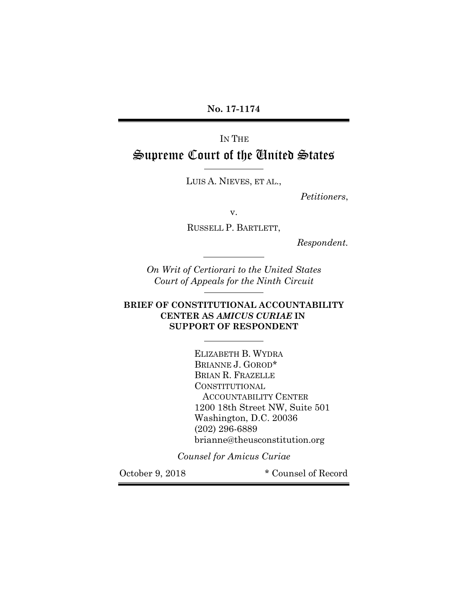**No. 17-1174**

# IN THE Supreme Court of the United States

LUIS A. NIEVES, ET AL.,

 $\overline{\phantom{a}}$ 

 $\overline{a}$ 

l

l

*Petitioners*,

v.

RUSSELL P. BARTLETT,

*Respondent.*

*On Writ of Certiorari to the United States Court of Appeals for the Ninth Circuit*

### **BRIEF OF CONSTITUTIONAL ACCOUNTABILITY CENTER AS** *AMICUS CURIAE* **IN SUPPORT OF RESPONDENT**

ELIZABETH B. WYDRA BRIANNE J. GOROD\* BRIAN R. FRAZELLE CONSTITUTIONAL ACCOUNTABILITY CENTER 1200 18th Street NW, Suite 501 Washington, D.C. 20036 (202) 296-6889 brianne@theusconstitution.org

*Counsel for Amicus Curiae*

October 9, 2018 \* Counsel of Record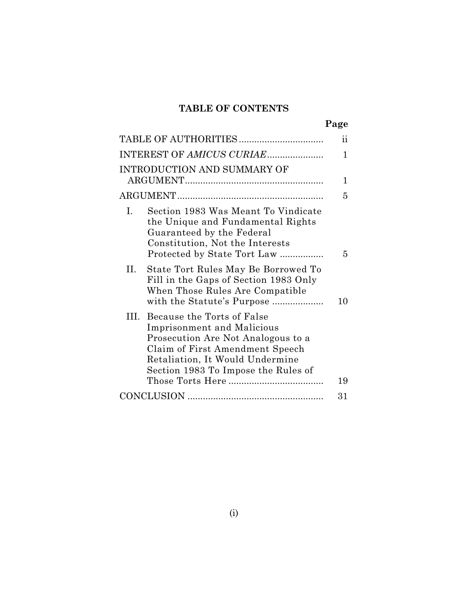## **TABLE OF CONTENTS**

|                                                                                                                                                                                                                         | $\ddot{\mathbf{i}}$ |
|-------------------------------------------------------------------------------------------------------------------------------------------------------------------------------------------------------------------------|---------------------|
|                                                                                                                                                                                                                         | 1                   |
| INTRODUCTION AND SUMMARY OF                                                                                                                                                                                             | 1                   |
|                                                                                                                                                                                                                         | 5                   |
| I.<br>Section 1983 Was Meant To Vindicate<br>the Unique and Fundamental Rights<br>Guaranteed by the Federal<br>Constitution, Not the Interests<br>Protected by State Tort Law                                           | 5                   |
| П.<br>State Tort Rules May Be Borrowed To<br>Fill in the Gaps of Section 1983 Only<br>When Those Rules Are Compatible<br>with the Statute's Purpose                                                                     | 10                  |
| III. Because the Torts of False<br><b>Imprisonment and Malicious</b><br>Prosecution Are Not Analogous to a<br>Claim of First Amendment Speech<br>Retaliation, It Would Undermine<br>Section 1983 To Impose the Rules of | 19                  |
|                                                                                                                                                                                                                         | 31                  |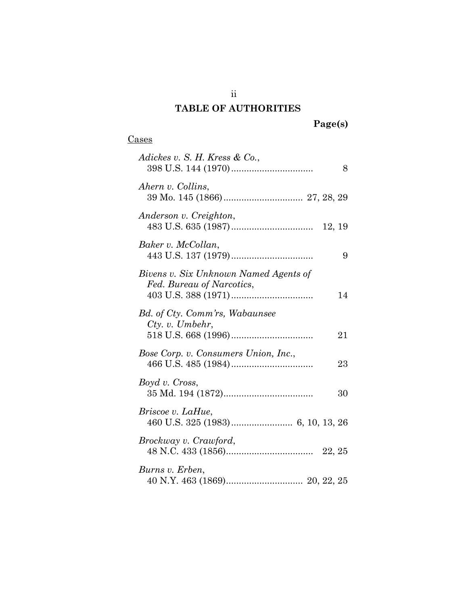## **TABLE OF AUTHORITIES**

### **Cases**

| Adickes v. S. H. Kress & Co.,                                      | 8  |
|--------------------------------------------------------------------|----|
| Ahern v. Collins,                                                  |    |
| Anderson v. Creighton,                                             |    |
| Baker v. McCollan,                                                 | 9  |
| Bivens v. Six Unknown Named Agents of<br>Fed. Bureau of Narcotics, | 14 |
| Bd. of Cty. Comm'rs, Wabaunsee<br>$Cty.$ v. Umbehr,                | 21 |
| Bose Corp. v. Consumers Union, Inc.,                               | 23 |
| Boyd v. Cross,                                                     | 30 |
| Briscoe v. LaHue,                                                  |    |
| Brockway v. Crawford,                                              |    |
| Burns v. Erben,                                                    |    |

ii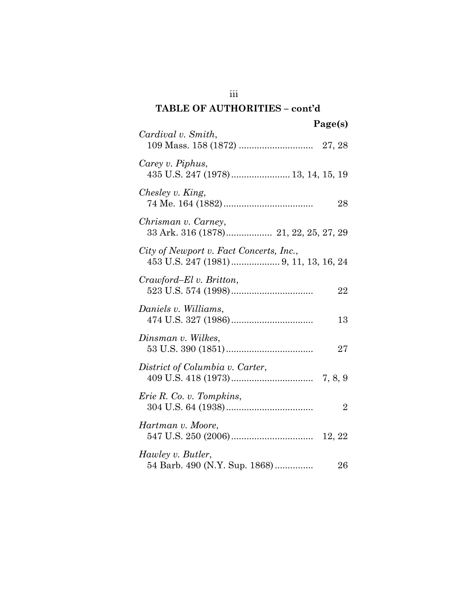## **TABLE OF AUTHORITIES – cont'd**

| Page(s)                                                      |
|--------------------------------------------------------------|
| Cardival v. Smith,                                           |
| Carey v. Piphus,<br>435 U.S. 247 (1978) 13, 14, 15, 19       |
| Chesley v. King,<br>28                                       |
| Chrisman v. Carney,<br>33 Ark. 316 (1878) 21, 22, 25, 27, 29 |
| City of Newport v. Fact Concerts, Inc.,                      |
| Crawford–El v. Britton,<br>22                                |
| Daniels v. Williams,<br>13                                   |
| Dinsman v. Wilkes,<br>27                                     |
| District of Columbia v. Carter,                              |
| Erie R. Co. v. Tompkins,<br>$\overline{2}$                   |
| Hartman v. Moore,                                            |
| Hawley v. Butler,<br>54 Barb. 490 (N.Y. Sup. 1868)<br>26     |

iii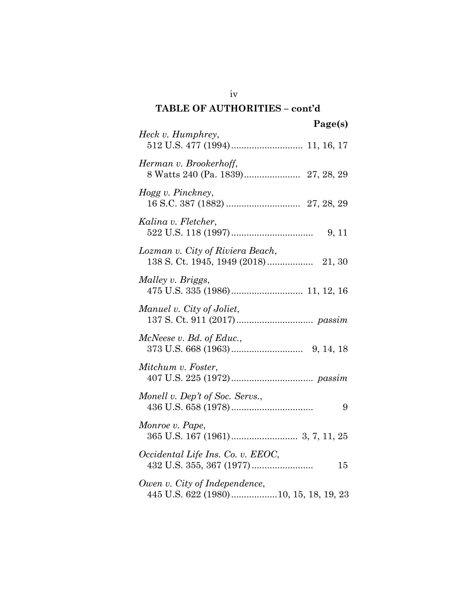## **TABLE OF AUTHORITIES – cont'd**

| Page(s)                                                                |
|------------------------------------------------------------------------|
| Heck v. Humphrey,                                                      |
| Herman v. Brookerhoff,                                                 |
| Hogg v. Pinckney,                                                      |
| Kalina v. Fletcher,<br>9, 11                                           |
| Lozman v. City of Riviera Beach,                                       |
| Malley v. Briggs,                                                      |
| Manuel v. City of Joliet,                                              |
| McNeese v. Bd. of Educ.,                                               |
| Mitchum v. Foster,                                                     |
| Monell v. Dep't of Soc. Servs.,<br>9                                   |
| Monroe v. Pape,                                                        |
| Occidental Life Ins. Co. v. EEOC,<br>15                                |
| Owen v. City of Independence,<br>445 U.S. 622 (1980)10, 15, 18, 19, 23 |

iv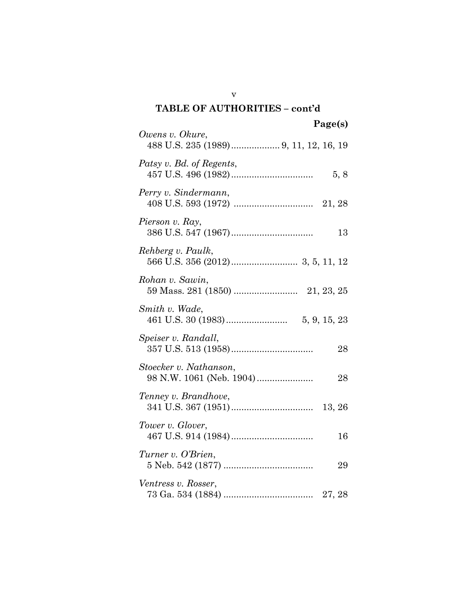| TABLE OF AUTHORITIES - cont'd                            |
|----------------------------------------------------------|
| Page(s)                                                  |
| Owens v. Okure,                                          |
| Patsy v. Bd. of Regents,<br>5, 8                         |
| Perry v. Sindermann,                                     |
| Pierson v. Ray,<br>13                                    |
| Rehberg v. Paulk,                                        |
| Rohan v. Sawin,                                          |
| Smith v. Wade,                                           |
| Speiser v. Randall,<br>28                                |
| Stoecker v. Nathanson,<br>98 N.W. 1061 (Neb. 1904)<br>28 |
| Tenney v. Brandhove,                                     |
| Tower v. Glover,<br>16                                   |
| Turner v. O'Brien,<br>29                                 |
| Ventress v. Rosser,                                      |

v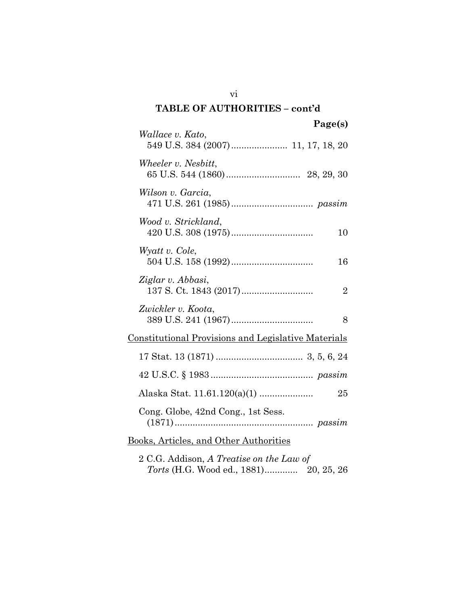# **TABLE OF AUTHORITIES – cont'd Page(s)** *Wallace v. Kato*, 549 U.S. 384 (2007)...................... 11, 17, 18, 20 *Wheeler v. Nesbitt*, 65 U.S. 544 (1860)............................. 28, 29, 30 *Wilson v. Garcia*, 471 U.S. 261 (1985)................................ *passim Wood v. Strickland*, 420 U.S. 308 (1975)................................ 10 *Wyatt v. Cole*, 504 U.S. 158 (1992)................................ 16 *Ziglar v. Abbasi*, 137 S. Ct. 1843 (2017)............................ 2 *Zwickler v. Koota*, 389 U.S. 241 (1967)................................ 8 Constitutional Provisions and Legislative Materials 17 Stat. 13 (1871) .................................. 3, 5, 6, 24 42 U.S.C. § 1983 ........................................ *passim* Alaska Stat. 11.61.120(a)(1) ..................... 25 Cong. Globe, 42nd Cong., 1st Sess. (1871)...................................................... *passim* Books, Articles, and Other Authorities 2 C.G. Addison, *A Treatise on the Law of*

*Torts* (H.G. Wood ed., 1881)............. 20, 25, 26

vi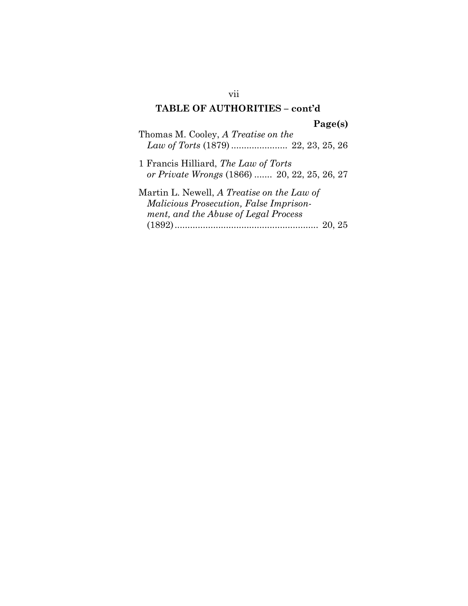## **TABLE OF AUTHORITIES – cont'd**

**Page(s)**

Thomas M. Cooley, *A Treatise on the Law of Torts* (1879) ...................... 22, 23, 25, 26

1 Francis Hilliard, *The Law of Torts or Private Wrongs* (1866) ....... 20, 22, 25, 26, 27

Martin L. Newell, *A Treatise on the Law of Malicious Prosecution, False Imprisonment, and the Abuse of Legal Process* (1892)........................................................ 20, 25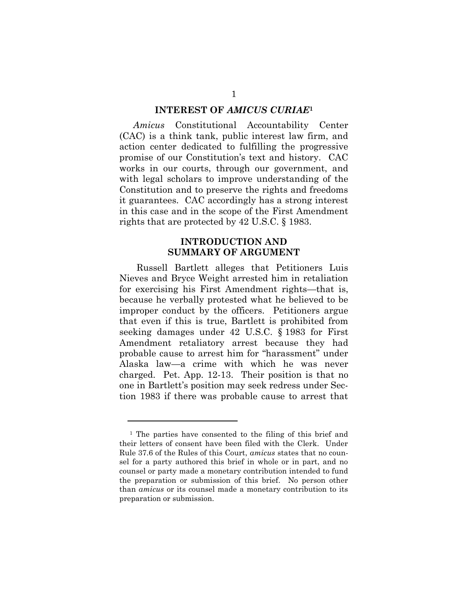#### **INTEREST OF** *AMICUS CURIAE***<sup>1</sup>**

*Amicus* Constitutional Accountability Center (CAC) is a think tank, public interest law firm, and action center dedicated to fulfilling the progressive promise of our Constitution's text and history. CAC works in our courts, through our government, and with legal scholars to improve understanding of the Constitution and to preserve the rights and freedoms it guarantees. CAC accordingly has a strong interest in this case and in the scope of the First Amendment rights that are protected by 42 U.S.C. § 1983.

### **INTRODUCTION AND SUMMARY OF ARGUMENT**

Russell Bartlett alleges that Petitioners Luis Nieves and Bryce Weight arrested him in retaliation for exercising his First Amendment rights—that is, because he verbally protested what he believed to be improper conduct by the officers. Petitioners argue that even if this is true, Bartlett is prohibited from seeking damages under 42 U.S.C. § 1983 for First Amendment retaliatory arrest because they had probable cause to arrest him for "harassment" under Alaska law—a crime with which he was never charged. Pet. App. 12-13. Their position is that no one in Bartlett's position may seek redress under Section 1983 if there was probable cause to arrest that

l

<sup>1</sup> The parties have consented to the filing of this brief and their letters of consent have been filed with the Clerk. Under Rule 37.6 of the Rules of this Court, *amicus* states that no counsel for a party authored this brief in whole or in part, and no counsel or party made a monetary contribution intended to fund the preparation or submission of this brief. No person other than *amicus* or its counsel made a monetary contribution to its preparation or submission.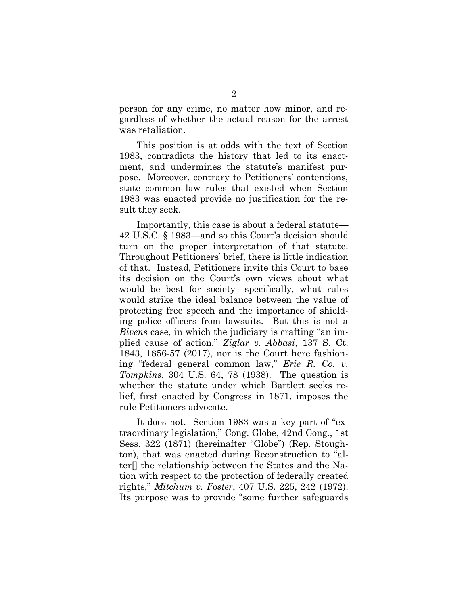person for any crime, no matter how minor, and regardless of whether the actual reason for the arrest was retaliation.

This position is at odds with the text of Section 1983, contradicts the history that led to its enactment, and undermines the statute's manifest purpose. Moreover, contrary to Petitioners' contentions, state common law rules that existed when Section 1983 was enacted provide no justification for the result they seek.

Importantly, this case is about a federal statute— 42 U.S.C. § 1983—and so this Court's decision should turn on the proper interpretation of that statute. Throughout Petitioners' brief, there is little indication of that. Instead, Petitioners invite this Court to base its decision on the Court's own views about what would be best for society—specifically, what rules would strike the ideal balance between the value of protecting free speech and the importance of shielding police officers from lawsuits. But this is not a *Bivens* case, in which the judiciary is crafting "an implied cause of action," *Ziglar v. Abbasi*, 137 S. Ct. 1843, 1856-57 (2017), nor is the Court here fashioning "federal general common law," *Erie R. Co. v. Tompkins*, 304 U.S. 64, 78 (1938). The question is whether the statute under which Bartlett seeks relief, first enacted by Congress in 1871, imposes the rule Petitioners advocate.

It does not. Section 1983 was a key part of "extraordinary legislation," Cong. Globe, 42nd Cong., 1st Sess. 322 (1871) (hereinafter "Globe") (Rep. Stoughton), that was enacted during Reconstruction to "alter[] the relationship between the States and the Nation with respect to the protection of federally created rights," *Mitchum v. Foster*, 407 U.S. 225, 242 (1972). Its purpose was to provide "some further safeguards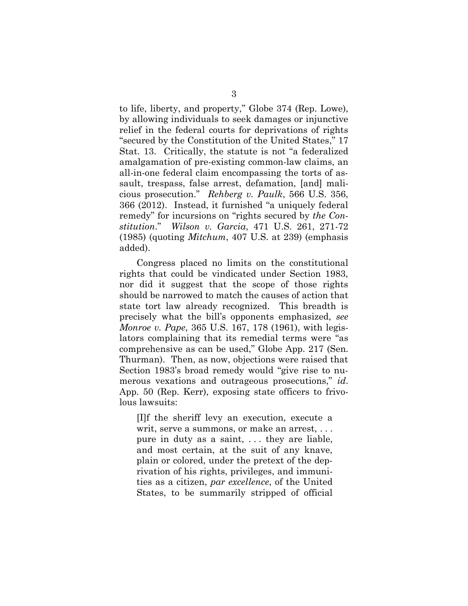to life, liberty, and property," Globe 374 (Rep. Lowe), by allowing individuals to seek damages or injunctive relief in the federal courts for deprivations of rights "secured by the Constitution of the United States," 17 Stat. 13. Critically, the statute is not "a federalized amalgamation of pre-existing common-law claims, an all-in-one federal claim encompassing the torts of assault, trespass, false arrest, defamation, [and] malicious prosecution." *Rehberg v. Paulk*, 566 U.S. 356, 366 (2012). Instead, it furnished "a uniquely federal remedy" for incursions on "rights secured by *the Constitution*." *Wilson v. Garcia*, 471 U.S. 261, 271-72 (1985) (quoting *Mitchum*, 407 U.S. at 239) (emphasis added).

Congress placed no limits on the constitutional rights that could be vindicated under Section 1983, nor did it suggest that the scope of those rights should be narrowed to match the causes of action that state tort law already recognized. This breadth is precisely what the bill's opponents emphasized, *see Monroe v. Pape*, 365 U.S. 167, 178 (1961), with legislators complaining that its remedial terms were "as comprehensive as can be used," Globe App. 217 (Sen. Thurman). Then, as now, objections were raised that Section 1983's broad remedy would "give rise to numerous vexations and outrageous prosecutions," *id*. App. 50 (Rep. Kerr), exposing state officers to frivolous lawsuits:

[I]f the sheriff levy an execution, execute a writ, serve a summons, or make an arrest, . . . pure in duty as a saint, . . . they are liable, and most certain, at the suit of any knave, plain or colored, under the pretext of the deprivation of his rights, privileges, and immunities as a citizen, *par excellence*, of the United States, to be summarily stripped of official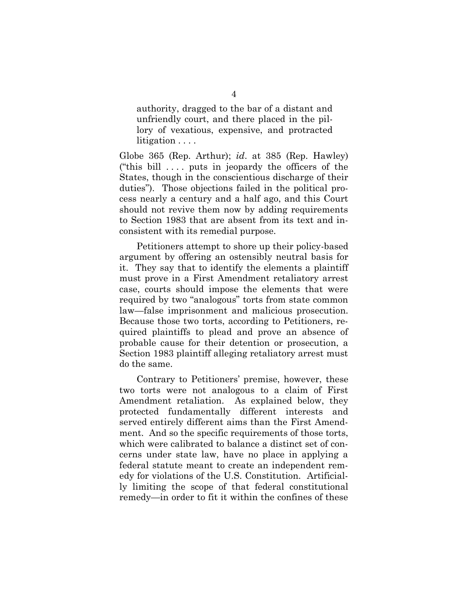authority, dragged to the bar of a distant and unfriendly court, and there placed in the pillory of vexatious, expensive, and protracted litigation . . . .

Globe 365 (Rep. Arthur); *id*. at 385 (Rep. Hawley) ("this bill  $\dots$  puts in jeopardy the officers of the States, though in the conscientious discharge of their duties"). Those objections failed in the political process nearly a century and a half ago, and this Court should not revive them now by adding requirements to Section 1983 that are absent from its text and inconsistent with its remedial purpose.

Petitioners attempt to shore up their policy-based argument by offering an ostensibly neutral basis for it. They say that to identify the elements a plaintiff must prove in a First Amendment retaliatory arrest case, courts should impose the elements that were required by two "analogous" torts from state common law—false imprisonment and malicious prosecution. Because those two torts, according to Petitioners, required plaintiffs to plead and prove an absence of probable cause for their detention or prosecution, a Section 1983 plaintiff alleging retaliatory arrest must do the same.

Contrary to Petitioners' premise, however, these two torts were not analogous to a claim of First Amendment retaliation. As explained below, they protected fundamentally different interests and served entirely different aims than the First Amendment. And so the specific requirements of those torts, which were calibrated to balance a distinct set of concerns under state law, have no place in applying a federal statute meant to create an independent remedy for violations of the U.S. Constitution. Artificially limiting the scope of that federal constitutional remedy—in order to fit it within the confines of these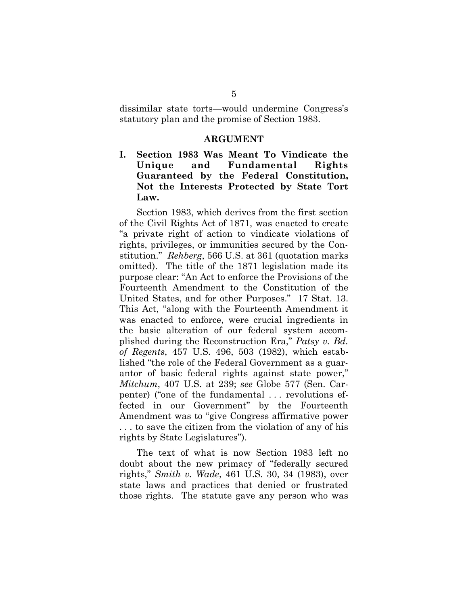dissimilar state torts—would undermine Congress's statutory plan and the promise of Section 1983.

#### **ARGUMENT**

**I. Section 1983 Was Meant To Vindicate the Unique and Fundamental Rights Guaranteed by the Federal Constitution, Not the Interests Protected by State Tort Law.**

Section 1983, which derives from the first section of the Civil Rights Act of 1871, was enacted to create "a private right of action to vindicate violations of rights, privileges, or immunities secured by the Constitution." *Rehberg*, 566 U.S. at 361 (quotation marks omitted). The title of the 1871 legislation made its purpose clear: "An Act to enforce the Provisions of the Fourteenth Amendment to the Constitution of the United States, and for other Purposes." 17 Stat. 13. This Act, "along with the Fourteenth Amendment it was enacted to enforce, were crucial ingredients in the basic alteration of our federal system accomplished during the Reconstruction Era," *Patsy v. Bd. of Regents*, 457 U.S. 496, 503 (1982), which established "the role of the Federal Government as a guarantor of basic federal rights against state power," *Mitchum*, 407 U.S. at 239; *see* Globe 577 (Sen. Carpenter) ("one of the fundamental . . . revolutions effected in our Government" by the Fourteenth Amendment was to "give Congress affirmative power . . . to save the citizen from the violation of any of his rights by State Legislatures").

The text of what is now Section 1983 left no doubt about the new primacy of "federally secured rights," *Smith v. Wade*, 461 U.S. 30, 34 (1983), over state laws and practices that denied or frustrated those rights. The statute gave any person who was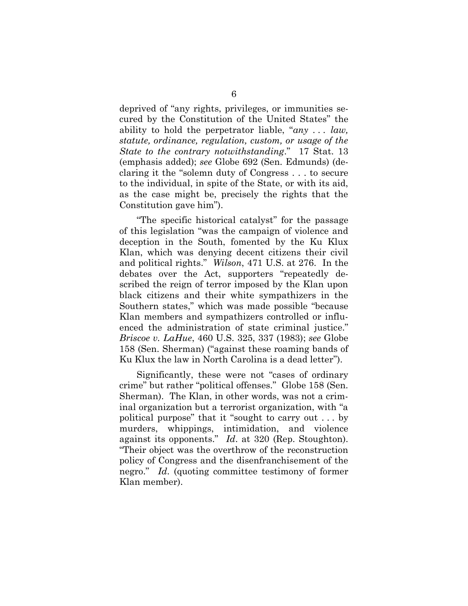deprived of "any rights, privileges, or immunities secured by the Constitution of the United States" the ability to hold the perpetrator liable, "*any . . . law, statute, ordinance, regulation, custom, or usage of the State to the contrary notwithstanding*." 17 Stat. 13 (emphasis added); *see* Globe 692 (Sen. Edmunds) (declaring it the "solemn duty of Congress . . . to secure to the individual, in spite of the State, or with its aid, as the case might be, precisely the rights that the Constitution gave him").

"The specific historical catalyst" for the passage of this legislation "was the campaign of violence and deception in the South, fomented by the Ku Klux Klan, which was denying decent citizens their civil and political rights." *Wilson*, 471 U.S. at 276. In the debates over the Act, supporters "repeatedly described the reign of terror imposed by the Klan upon black citizens and their white sympathizers in the Southern states," which was made possible "because Klan members and sympathizers controlled or influenced the administration of state criminal justice." *Briscoe v. LaHue*, 460 U.S. 325, 337 (1983); *see* Globe 158 (Sen. Sherman) ("against these roaming bands of Ku Klux the law in North Carolina is a dead letter").

Significantly, these were not "cases of ordinary crime" but rather "political offenses." Globe 158 (Sen. Sherman). The Klan, in other words, was not a criminal organization but a terrorist organization, with "a political purpose" that it "sought to carry out . . . by murders, whippings, intimidation, and violence against its opponents." *Id*. at 320 (Rep. Stoughton). "Their object was the overthrow of the reconstruction policy of Congress and the disenfranchisement of the negro." *Id*. (quoting committee testimony of former Klan member).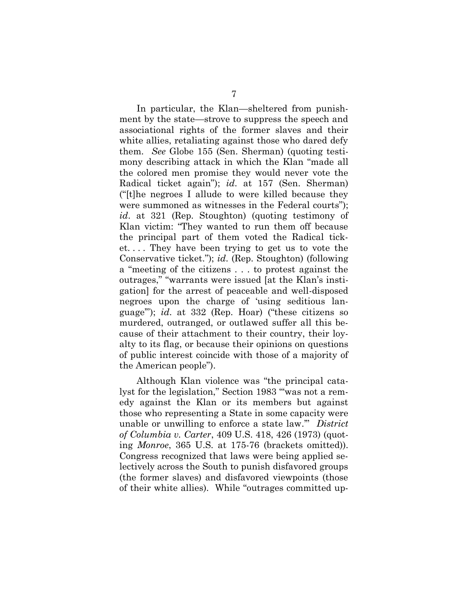In particular, the Klan—sheltered from punishment by the state—strove to suppress the speech and associational rights of the former slaves and their white allies, retaliating against those who dared defy them. *See* Globe 155 (Sen. Sherman) (quoting testimony describing attack in which the Klan "made all the colored men promise they would never vote the Radical ticket again"); *id*. at 157 (Sen. Sherman) ("[t]he negroes I allude to were killed because they were summoned as witnesses in the Federal courts"); *id*. at 321 (Rep. Stoughton) (quoting testimony of Klan victim: "They wanted to run them off because the principal part of them voted the Radical ticket. . . . They have been trying to get us to vote the Conservative ticket."); *id*. (Rep. Stoughton) (following a "meeting of the citizens . . . to protest against the outrages," "warrants were issued [at the Klan's instigation] for the arrest of peaceable and well-disposed negroes upon the charge of 'using seditious language'"); *id*. at 332 (Rep. Hoar) ("these citizens so murdered, outranged, or outlawed suffer all this because of their attachment to their country, their loyalty to its flag, or because their opinions on questions of public interest coincide with those of a majority of the American people").

Although Klan violence was "the principal catalyst for the legislation," Section 1983 "'was not a remedy against the Klan or its members but against those who representing a State in some capacity were unable or unwilling to enforce a state law.'" *District of Columbia v. Carter*, 409 U.S. 418, 426 (1973) (quoting *Monroe*, 365 U.S. at 175-76 (brackets omitted)). Congress recognized that laws were being applied selectively across the South to punish disfavored groups (the former slaves) and disfavored viewpoints (those of their white allies). While "outrages committed up-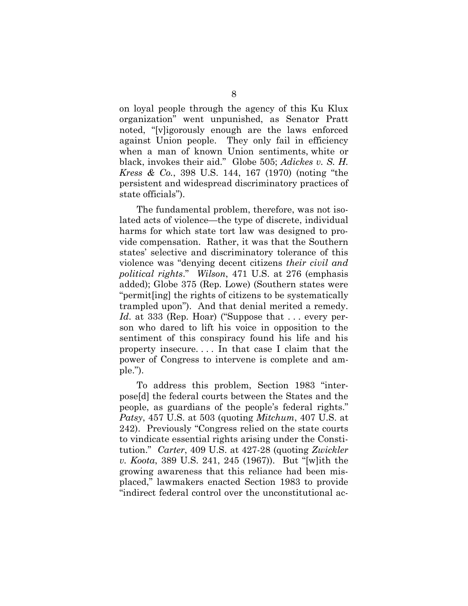on loyal people through the agency of this Ku Klux organization" went unpunished, as Senator Pratt noted, "[v]igorously enough are the laws enforced against Union people. They only fail in efficiency when a man of known Union sentiments, white or black, invokes their aid." Globe 505; *Adickes v. S. H. Kress & Co.*, 398 U.S. 144, 167 (1970) (noting "the persistent and widespread discriminatory practices of state officials").

The fundamental problem, therefore, was not isolated acts of violence—the type of discrete, individual harms for which state tort law was designed to provide compensation. Rather, it was that the Southern states' selective and discriminatory tolerance of this violence was "denying decent citizens *their civil and political rights*." *Wilson*, 471 U.S. at 276 (emphasis added); Globe 375 (Rep. Lowe) (Southern states were "permit[ing] the rights of citizens to be systematically trampled upon"). And that denial merited a remedy. *Id.* at 333 (Rep. Hoar) ("Suppose that ... every person who dared to lift his voice in opposition to the sentiment of this conspiracy found his life and his property insecure. . . . In that case I claim that the power of Congress to intervene is complete and ample.").

To address this problem, Section 1983 "interpose[d] the federal courts between the States and the people, as guardians of the people's federal rights." *Patsy*, 457 U.S. at 503 (quoting *Mitchum*, 407 U.S. at 242). Previously "Congress relied on the state courts to vindicate essential rights arising under the Constitution." *Carter*, 409 U.S. at 427-28 (quoting *Zwickler v. Koota*, 389 U.S. 241, 245 (1967)). But "[w]ith the growing awareness that this reliance had been misplaced," lawmakers enacted Section 1983 to provide "indirect federal control over the unconstitutional ac-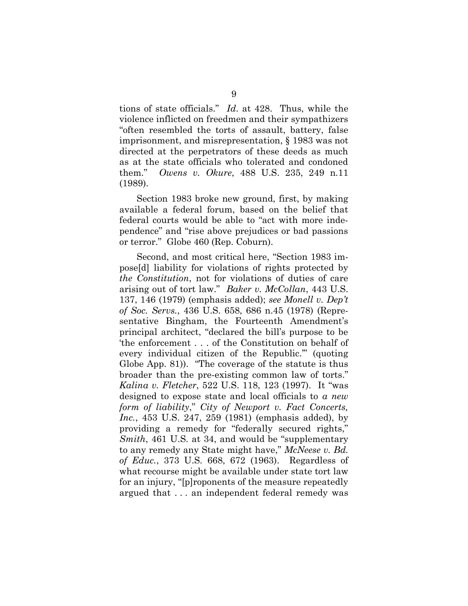tions of state officials." *Id*. at 428. Thus, while the violence inflicted on freedmen and their sympathizers "often resembled the torts of assault, battery, false imprisonment, and misrepresentation, § 1983 was not directed at the perpetrators of these deeds as much as at the state officials who tolerated and condoned them." *Owens v. Okure*, 488 U.S. 235, 249 n.11 (1989).

Section 1983 broke new ground, first, by making available a federal forum, based on the belief that federal courts would be able to "act with more independence" and "rise above prejudices or bad passions or terror." Globe 460 (Rep. Coburn).

Second, and most critical here, "Section 1983 impose[d] liability for violations of rights protected by *the Constitution*, not for violations of duties of care arising out of tort law." *Baker v. McCollan*, 443 U.S. 137, 146 (1979) (emphasis added); *see Monell v. Dep't of Soc. Servs.*, 436 U.S. 658, 686 n.45 (1978) (Representative Bingham, the Fourteenth Amendment's principal architect, "declared the bill's purpose to be 'the enforcement . . . of the Constitution on behalf of every individual citizen of the Republic.'" (quoting Globe App. 81)). "The coverage of the statute is thus broader than the pre-existing common law of torts." *Kalina v. Fletcher*, 522 U.S. 118, 123 (1997). It "was designed to expose state and local officials to *a new form of liability*," *City of Newport v. Fact Concerts, Inc.*, 453 U.S. 247, 259 (1981) (emphasis added), by providing a remedy for "federally secured rights," *Smith*, 461 U.S. at 34, and would be "supplementary to any remedy any State might have," *McNeese v. Bd. of Educ.*, 373 U.S. 668, 672 (1963). Regardless of what recourse might be available under state tort law for an injury, "[p]roponents of the measure repeatedly argued that . . . an independent federal remedy was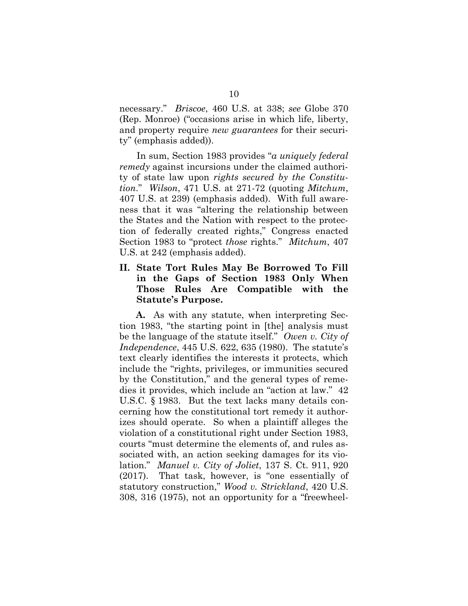necessary." *Briscoe*, 460 U.S. at 338; *see* Globe 370 (Rep. Monroe) ("occasions arise in which life, liberty, and property require *new guarantees* for their security" (emphasis added)).

In sum, Section 1983 provides "*a uniquely federal remedy* against incursions under the claimed authority of state law upon *rights secured by the Constitution*." *Wilson*, 471 U.S. at 271-72 (quoting *Mitchum*, 407 U.S. at 239) (emphasis added). With full awareness that it was "altering the relationship between the States and the Nation with respect to the protection of federally created rights," Congress enacted Section 1983 to "protect *those* rights." *Mitchum*, 407 U.S. at 242 (emphasis added).

### **II. State Tort Rules May Be Borrowed To Fill in the Gaps of Section 1983 Only When Those Rules Are Compatible with the Statute's Purpose.**

**A.** As with any statute, when interpreting Section 1983, "the starting point in [the] analysis must be the language of the statute itself." *Owen v. City of Independence*, 445 U.S. 622, 635 (1980). The statute's text clearly identifies the interests it protects, which include the "rights, privileges, or immunities secured by the Constitution," and the general types of remedies it provides, which include an "action at law." 42 U.S.C. § 1983. But the text lacks many details concerning how the constitutional tort remedy it authorizes should operate. So when a plaintiff alleges the violation of a constitutional right under Section 1983, courts "must determine the elements of, and rules associated with, an action seeking damages for its violation." *Manuel v. City of Joliet*, 137 S. Ct. 911, 920 (2017). That task, however, is "one essentially of statutory construction," *Wood v. Strickland*, 420 U.S. 308, 316 (1975), not an opportunity for a "freewheel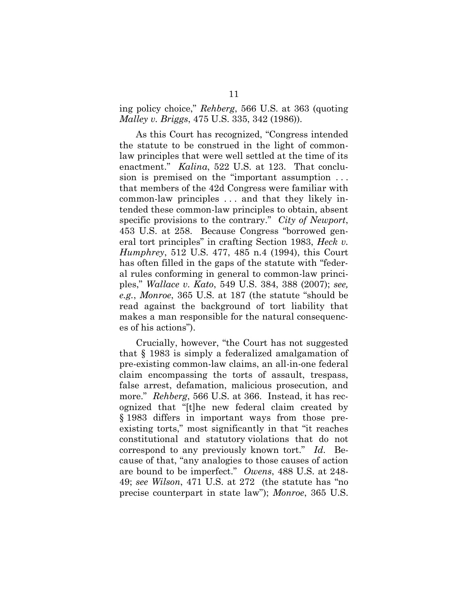ing policy choice," *Rehberg*, 566 U.S. at 363 (quoting *Malley v. Briggs*, 475 U.S. 335, 342 (1986)).

As this Court has recognized, "Congress intended the statute to be construed in the light of commonlaw principles that were well settled at the time of its enactment." *Kalina*, 522 U.S. at 123. That conclusion is premised on the "important assumption . . . that members of the 42d Congress were familiar with common-law principles . . . and that they likely intended these common-law principles to obtain, absent specific provisions to the contrary." *City of Newport*, 453 U.S. at 258. Because Congress "borrowed general tort principles" in crafting Section 1983, *Heck v. Humphrey*, 512 U.S. 477, 485 n.4 (1994), this Court has often filled in the gaps of the statute with "federal rules conforming in general to common-law principles," *Wallace v. Kato*, 549 U.S. 384, 388 (2007); *see, e.g.*, *Monroe*, 365 U.S. at 187 (the statute "should be read against the background of tort liability that makes a man responsible for the natural consequences of his actions").

Crucially, however, "the Court has not suggested that § 1983 is simply a federalized amalgamation of pre-existing common-law claims, an all-in-one federal claim encompassing the torts of assault, trespass, false arrest, defamation, malicious prosecution, and more." *Rehberg*, 566 U.S. at 366. Instead, it has recognized that "[t]he new federal claim created by § 1983 differs in important ways from those preexisting torts," most significantly in that "it reaches constitutional and statutory violations that do not correspond to any previously known tort." *Id*. Because of that, "any analogies to those causes of action are bound to be imperfect." *Owens*, 488 U.S. at 248- 49; *see Wilson*, 471 U.S. at 272 (the statute has "no precise counterpart in state law"); *Monroe*, 365 U.S.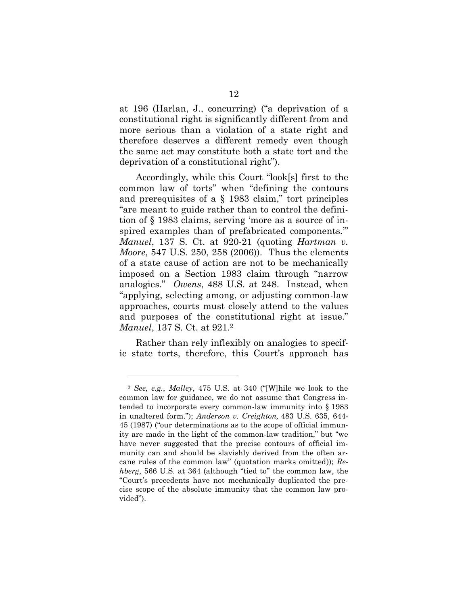at 196 (Harlan, J., concurring) ("a deprivation of a constitutional right is significantly different from and more serious than a violation of a state right and therefore deserves a different remedy even though the same act may constitute both a state tort and the deprivation of a constitutional right").

Accordingly, while this Court "look[s] first to the common law of torts" when "defining the contours and prerequisites of a § 1983 claim," tort principles "are meant to guide rather than to control the definition of § 1983 claims, serving 'more as a source of inspired examples than of prefabricated components.'" *Manuel*, 137 S. Ct. at 920-21 (quoting *Hartman v. Moore*, 547 U.S. 250, 258 (2006)). Thus the elements of a state cause of action are not to be mechanically imposed on a Section 1983 claim through "narrow analogies." *Owens*, 488 U.S. at 248. Instead, when "applying, selecting among, or adjusting common-law approaches, courts must closely attend to the values and purposes of the constitutional right at issue." *Manuel*, 137 S. Ct. at 921.<sup>2</sup>

Rather than rely inflexibly on analogies to specific state torts, therefore, this Court's approach has

l

<sup>2</sup> *See, e.g.*, *Malley*, 475 U.S. at 340 ("[W]hile we look to the common law for guidance, we do not assume that Congress intended to incorporate every common-law immunity into § 1983 in unaltered form."); *Anderson v. Creighton,* 483 U.S. 635, 644- 45 (1987) ("our determinations as to the scope of official immunity are made in the light of the common-law tradition," but "we have never suggested that the precise contours of official immunity can and should be slavishly derived from the often arcane rules of the common law" (quotation marks omitted)); *Rehberg*, 566 U.S. at 364 (although "tied to" the common law, the "Court's precedents have not mechanically duplicated the precise scope of the absolute immunity that the common law provided").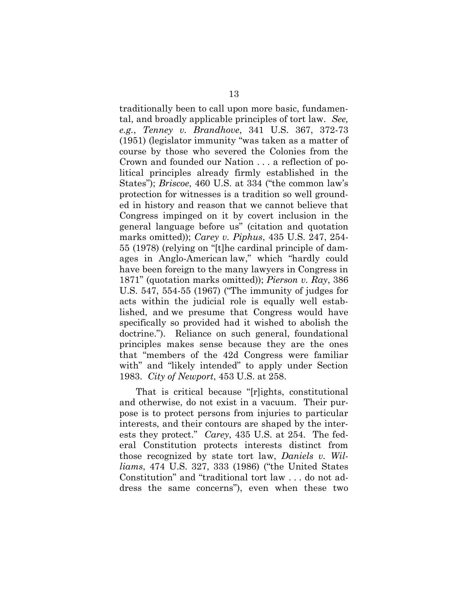traditionally been to call upon more basic, fundamental, and broadly applicable principles of tort law. *See, e.g.*, *Tenney v. Brandhove*, 341 U.S. 367, 372-73 (1951) (legislator immunity "was taken as a matter of course by those who severed the Colonies from the Crown and founded our Nation . . . a reflection of political principles already firmly established in the States"); *Briscoe*, 460 U.S. at 334 ("the common law's protection for witnesses is a tradition so well grounded in history and reason that we cannot believe that Congress impinged on it by covert inclusion in the general language before us" (citation and quotation marks omitted)); *Carey v. Piphus*, 435 U.S. 247, 254- 55 (1978) (relying on "[t]he cardinal principle of damages in Anglo-American law," which "hardly could have been foreign to the many lawyers in Congress in 1871" (quotation marks omitted)); *Pierson v. Ray*, 386 U.S. 547, 554-55 (1967) ("The immunity of judges for acts within the judicial role is equally well established, and we presume that Congress would have specifically so provided had it wished to abolish the doctrine."). Reliance on such general, foundational principles makes sense because they are the ones that "members of the 42d Congress were familiar with" and "likely intended" to apply under Section 1983. *City of Newport*, 453 U.S. at 258.

That is critical because "[r]ights, constitutional and otherwise, do not exist in a vacuum. Their purpose is to protect persons from injuries to particular interests, and their contours are shaped by the interests they protect." *Carey*, 435 U.S. at 254. The federal Constitution protects interests distinct from those recognized by state tort law, *Daniels v. Williams*, 474 U.S. 327, 333 (1986) ("the United States Constitution" and "traditional tort law . . . do not address the same concerns"), even when these two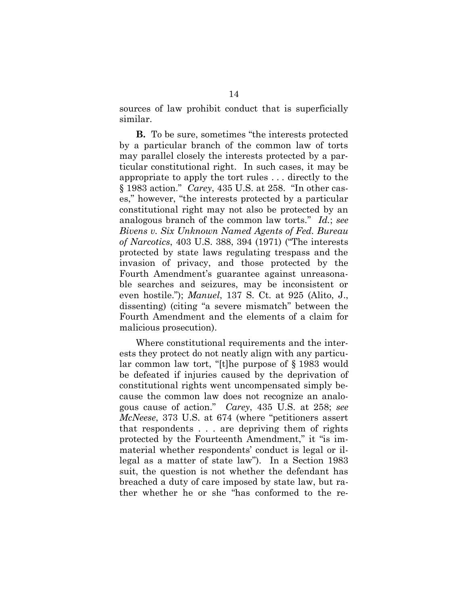sources of law prohibit conduct that is superficially similar.

**B.** To be sure, sometimes "the interests protected by a particular branch of the common law of torts may parallel closely the interests protected by a particular constitutional right. In such cases, it may be appropriate to apply the tort rules . . . directly to the § 1983 action." *Carey*, 435 U.S. at 258. "In other cases," however, "the interests protected by a particular constitutional right may not also be protected by an analogous branch of the common law torts." *Id.*; *see Bivens v. Six Unknown Named Agents of Fed. Bureau of Narcotics*, 403 U.S. 388, 394 (1971) ("The interests protected by state laws regulating trespass and the invasion of privacy, and those protected by the Fourth Amendment's guarantee against unreasonable searches and seizures, may be inconsistent or even hostile."); *Manuel*, 137 S. Ct. at 925 (Alito, J., dissenting) (citing "a severe mismatch" between the Fourth Amendment and the elements of a claim for malicious prosecution).

Where constitutional requirements and the interests they protect do not neatly align with any particular common law tort, "[t]he purpose of § 1983 would be defeated if injuries caused by the deprivation of constitutional rights went uncompensated simply because the common law does not recognize an analogous cause of action." *Carey*, 435 U.S. at 258; *see McNeese*, 373 U.S. at 674 (where "petitioners assert that respondents . . . are depriving them of rights protected by the Fourteenth Amendment," it "is immaterial whether respondents' conduct is legal or illegal as a matter of state law"). In a Section 1983 suit, the question is not whether the defendant has breached a duty of care imposed by state law, but rather whether he or she "has conformed to the re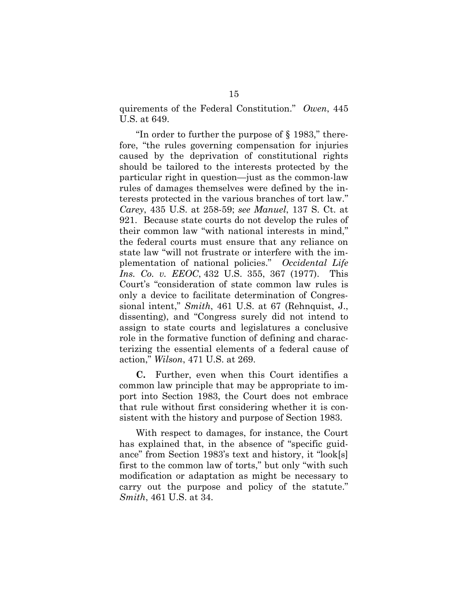quirements of the Federal Constitution." *Owen*, 445 U.S. at 649.

"In order to further the purpose of § 1983," therefore, "the rules governing compensation for injuries caused by the deprivation of constitutional rights should be tailored to the interests protected by the particular right in question—just as the common-law rules of damages themselves were defined by the interests protected in the various branches of tort law." *Carey*, 435 U.S. at 258-59; *see Manuel*, 137 S. Ct. at 921. Because state courts do not develop the rules of their common law "with national interests in mind," the federal courts must ensure that any reliance on state law "will not frustrate or interfere with the implementation of national policies." *Occidental Life Ins. Co. v. EEOC*, 432 U.S. 355, 367 (1977). This Court's "consideration of state common law rules is only a device to facilitate determination of Congressional intent," *Smith*, 461 U.S. at 67 (Rehnquist, J., dissenting), and "Congress surely did not intend to assign to state courts and legislatures a conclusive role in the formative function of defining and characterizing the essential elements of a federal cause of action," *Wilson*, 471 U.S. at 269.

**C.** Further, even when this Court identifies a common law principle that may be appropriate to import into Section 1983, the Court does not embrace that rule without first considering whether it is consistent with the history and purpose of Section 1983.

With respect to damages, for instance, the Court has explained that, in the absence of "specific guidance" from Section 1983's text and history, it "look[s] first to the common law of torts," but only "with such modification or adaptation as might be necessary to carry out the purpose and policy of the statute." *Smith*, 461 U.S. at 34.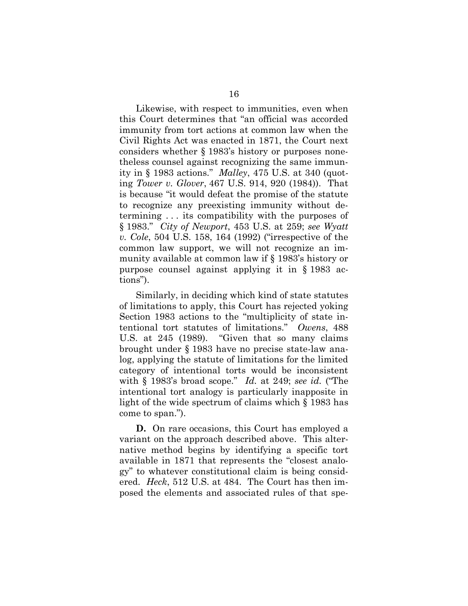Likewise, with respect to immunities, even when this Court determines that "an official was accorded immunity from tort actions at common law when the Civil Rights Act was enacted in 1871, the Court next considers whether § 1983's history or purposes nonetheless counsel against recognizing the same immunity in § 1983 actions." *Malley*, 475 U.S. at 340 (quoting *Tower v. Glover*, 467 U.S. 914, 920 (1984)). That is because "it would defeat the promise of the statute to recognize any preexisting immunity without determining . . . its compatibility with the purposes of § 1983." *City of Newport*, 453 U.S. at 259; *see Wyatt v. Cole*, 504 U.S. 158, 164 (1992) ("irrespective of the common law support, we will not recognize an immunity available at common law if § 1983's history or purpose counsel against applying it in § 1983 actions").

Similarly, in deciding which kind of state statutes of limitations to apply, this Court has rejected yoking Section 1983 actions to the "multiplicity of state intentional tort statutes of limitations." *Owens*, 488 U.S. at 245 (1989). "Given that so many claims brought under § 1983 have no precise state-law analog, applying the statute of limitations for the limited category of intentional torts would be inconsistent with § 1983's broad scope." *Id.* at 249; *see id.* ("The intentional tort analogy is particularly inapposite in light of the wide spectrum of claims which § 1983 has come to span.").

**D.** On rare occasions, this Court has employed a variant on the approach described above. This alternative method begins by identifying a specific tort available in 1871 that represents the "closest analogy" to whatever constitutional claim is being considered. *Heck*, 512 U.S. at 484. The Court has then imposed the elements and associated rules of that spe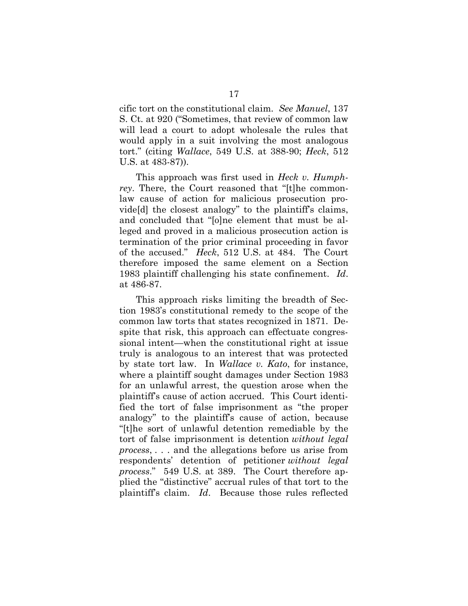cific tort on the constitutional claim. *See Manuel*, 137 S. Ct. at 920 ("Sometimes, that review of common law will lead a court to adopt wholesale the rules that would apply in a suit involving the most analogous tort." (citing *Wallace*, 549 U.S. at 388-90; *Heck*, 512 U.S. at 483-87)).

This approach was first used in *Heck v. Humphrey*. There, the Court reasoned that "[t]he commonlaw cause of action for malicious prosecution provide[d] the closest analogy" to the plaintiff's claims, and concluded that "[o]ne element that must be alleged and proved in a malicious prosecution action is termination of the prior criminal proceeding in favor of the accused." *Heck*, 512 U.S. at 484. The Court therefore imposed the same element on a Section 1983 plaintiff challenging his state confinement. *Id*. at 486-87.

This approach risks limiting the breadth of Section 1983's constitutional remedy to the scope of the common law torts that states recognized in 1871. Despite that risk, this approach can effectuate congressional intent—when the constitutional right at issue truly is analogous to an interest that was protected by state tort law. In *Wallace v. Kato*, for instance, where a plaintiff sought damages under Section 1983 for an unlawful arrest, the question arose when the plaintiff's cause of action accrued. This Court identified the tort of false imprisonment as "the proper analogy" to the plaintiff's cause of action, because "[t]he sort of unlawful detention remediable by the tort of false imprisonment is detention *without legal process*, . . . and the allegations before us arise from respondents' detention of petitioner *without legal process*." 549 U.S. at 389. The Court therefore applied the "distinctive" accrual rules of that tort to the plaintiff's claim. *Id*. Because those rules reflected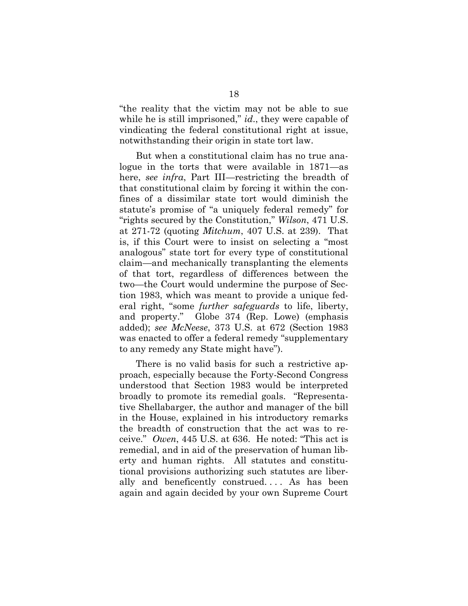"the reality that the victim may not be able to sue while he is still imprisoned," *id*., they were capable of vindicating the federal constitutional right at issue, notwithstanding their origin in state tort law.

But when a constitutional claim has no true analogue in the torts that were available in 1871—as here, *see infra*, Part III—restricting the breadth of that constitutional claim by forcing it within the confines of a dissimilar state tort would diminish the statute's promise of "a uniquely federal remedy" for "rights secured by the Constitution," *Wilson*, 471 U.S. at 271-72 (quoting *Mitchum*, 407 U.S. at 239). That is, if this Court were to insist on selecting a "most analogous" state tort for every type of constitutional claim—and mechanically transplanting the elements of that tort, regardless of differences between the two—the Court would undermine the purpose of Section 1983, which was meant to provide a unique federal right, "some *further safeguards* to life, liberty, and property." Globe 374 (Rep. Lowe) (emphasis added); *see McNeese*, 373 U.S. at 672 (Section 1983 was enacted to offer a federal remedy "supplementary to any remedy any State might have").

There is no valid basis for such a restrictive approach, especially because the Forty-Second Congress understood that Section 1983 would be interpreted broadly to promote its remedial goals. "Representative Shellabarger, the author and manager of the bill in the House, explained in his introductory remarks the breadth of construction that the act was to receive." *Owen*, 445 U.S. at 636. He noted: "This act is remedial, and in aid of the preservation of human liberty and human rights. All statutes and constitutional provisions authorizing such statutes are liberally and beneficently construed. . . . As has been again and again decided by your own Supreme Court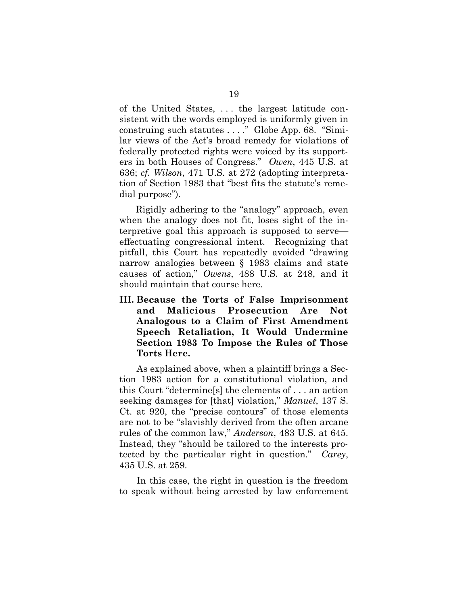of the United States, . . . the largest latitude consistent with the words employed is uniformly given in construing such statutes . . . ." Globe App. 68. "Similar views of the Act's broad remedy for violations of federally protected rights were voiced by its supporters in both Houses of Congress." *Owen*, 445 U.S. at 636; *cf. Wilson*, 471 U.S. at 272 (adopting interpretation of Section 1983 that "best fits the statute's remedial purpose").

Rigidly adhering to the "analogy" approach, even when the analogy does not fit, loses sight of the interpretive goal this approach is supposed to serve effectuating congressional intent. Recognizing that pitfall, this Court has repeatedly avoided "drawing narrow analogies between § 1983 claims and state causes of action," *Owens*, 488 U.S. at 248, and it should maintain that course here.

**III. Because the Torts of False Imprisonment and Malicious Prosecution Are Not Analogous to a Claim of First Amendment Speech Retaliation, It Would Undermine Section 1983 To Impose the Rules of Those Torts Here.**

As explained above, when a plaintiff brings a Section 1983 action for a constitutional violation, and this Court "determine[s] the elements of . . . an action seeking damages for [that] violation," *Manuel*, 137 S. Ct. at 920, the "precise contours" of those elements are not to be "slavishly derived from the often arcane rules of the common law," *Anderson*, 483 U.S. at 645. Instead, they "should be tailored to the interests protected by the particular right in question." *Carey*, 435 U.S. at 259.

In this case, the right in question is the freedom to speak without being arrested by law enforcement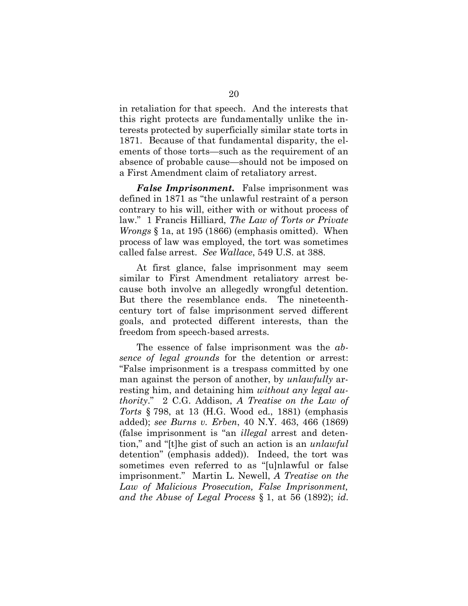in retaliation for that speech. And the interests that this right protects are fundamentally unlike the interests protected by superficially similar state torts in 1871. Because of that fundamental disparity, the elements of those torts—such as the requirement of an absence of probable cause—should not be imposed on a First Amendment claim of retaliatory arrest.

*False Imprisonment.* False imprisonment was defined in 1871 as "the unlawful restraint of a person contrary to his will, either with or without process of law." 1 Francis Hilliard, *The Law of Torts or Private Wrongs* § 1a, at 195 (1866) (emphasis omitted). When process of law was employed, the tort was sometimes called false arrest. *See Wallace*, 549 U.S. at 388.

At first glance, false imprisonment may seem similar to First Amendment retaliatory arrest because both involve an allegedly wrongful detention. But there the resemblance ends. The nineteenthcentury tort of false imprisonment served different goals, and protected different interests, than the freedom from speech-based arrests.

The essence of false imprisonment was the *absence of legal grounds* for the detention or arrest: "False imprisonment is a trespass committed by one man against the person of another, by *unlawfully* arresting him, and detaining him *without any legal authority*." 2 C.G. Addison, *A Treatise on the Law of Torts* § 798, at 13 (H.G. Wood ed., 1881) (emphasis added); *see Burns v. Erben*, 40 N.Y. 463, 466 (1869) (false imprisonment is "an *illegal* arrest and detention," and "[t]he gist of such an action is an *unlawful* detention" (emphasis added)). Indeed, the tort was sometimes even referred to as "[u]nlawful or false imprisonment." Martin L. Newell, *A Treatise on the Law of Malicious Prosecution, False Imprisonment, and the Abuse of Legal Process* § 1, at 56 (1892); *id*.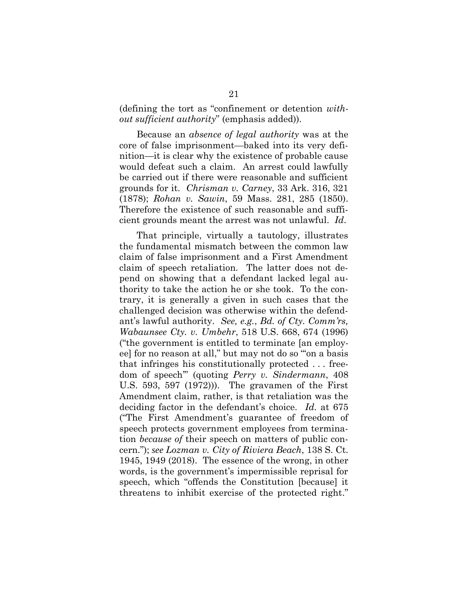(defining the tort as "confinement or detention *without sufficient authority*" (emphasis added)).

Because an *absence of legal authority* was at the core of false imprisonment—baked into its very definition—it is clear why the existence of probable cause would defeat such a claim. An arrest could lawfully be carried out if there were reasonable and sufficient grounds for it. *Chrisman v. Carney*, 33 Ark. 316, 321 (1878); *Rohan v. Sawin*, 59 Mass. 281, 285 (1850). Therefore the existence of such reasonable and sufficient grounds meant the arrest was not unlawful. *Id*.

That principle, virtually a tautology, illustrates the fundamental mismatch between the common law claim of false imprisonment and a First Amendment claim of speech retaliation. The latter does not depend on showing that a defendant lacked legal authority to take the action he or she took. To the contrary, it is generally a given in such cases that the challenged decision was otherwise within the defendant's lawful authority. *See, e.g.*, *Bd. of Cty. Comm'rs, Wabaunsee Cty. v. Umbehr*, 518 U.S. 668, 674 (1996) ("the government is entitled to terminate [an employee] for no reason at all," but may not do so "'on a basis that infringes his constitutionally protected . . . freedom of speech'" (quoting *Perry v. Sindermann*, 408 U.S. 593, 597 (1972))). The gravamen of the First Amendment claim, rather, is that retaliation was the deciding factor in the defendant's choice. *Id.* at 675 ("The First Amendment's guarantee of freedom of speech protects government employees from termination *because of* their speech on matters of public concern."); *see Lozman v. City of Riviera Beach*, 138 S. Ct. 1945, 1949 (2018). The essence of the wrong, in other words, is the government's impermissible reprisal for speech, which "offends the Constitution [because] it threatens to inhibit exercise of the protected right."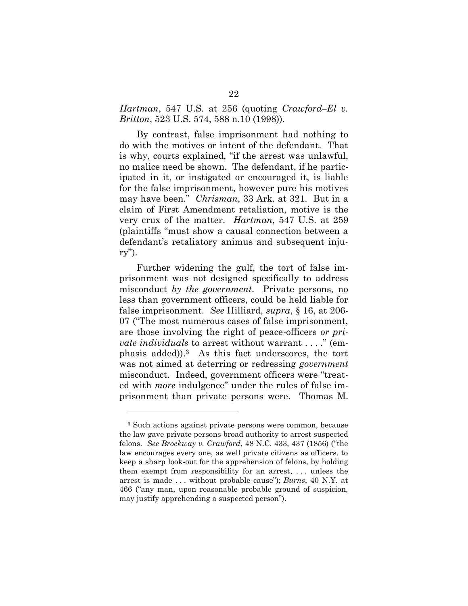*Hartman*, 547 U.S. at 256 (quoting *Crawford–El v. Britton*, 523 U.S. 574, 588 n.10 (1998)).

By contrast, false imprisonment had nothing to do with the motives or intent of the defendant. That is why, courts explained, "if the arrest was unlawful, no malice need be shown. The defendant, if he participated in it, or instigated or encouraged it, is liable for the false imprisonment, however pure his motives may have been." *Chrisman*, 33 Ark. at 321. But in a claim of First Amendment retaliation, motive is the very crux of the matter. *Hartman*, 547 U.S. at 259 (plaintiffs "must show a causal connection between a defendant's retaliatory animus and subsequent injury").

Further widening the gulf, the tort of false imprisonment was not designed specifically to address misconduct *by the government*. Private persons, no less than government officers, could be held liable for false imprisonment. *See* Hilliard, *supra*, § 16, at 206- 07 ("The most numerous cases of false imprisonment, are those involving the right of peace-officers *or private individuals* to arrest without warrant . . . ." (emphasis added)).3 As this fact underscores, the tort was not aimed at deterring or redressing *government* misconduct. Indeed, government officers were "treated with *more* indulgence" under the rules of false imprisonment than private persons were. Thomas M.

l

<sup>3</sup> Such actions against private persons were common, because the law gave private persons broad authority to arrest suspected felons. *See Brockway v. Crawford*, 48 N.C. 433, 437 (1856) ("the law encourages every one, as well private citizens as officers, to keep a sharp look-out for the apprehension of felons, by holding them exempt from responsibility for an arrest, . . . unless the arrest is made . . . without probable cause"); *Burns*, 40 N.Y. at 466 ("any man, upon reasonable probable ground of suspicion, may justify apprehending a suspected person").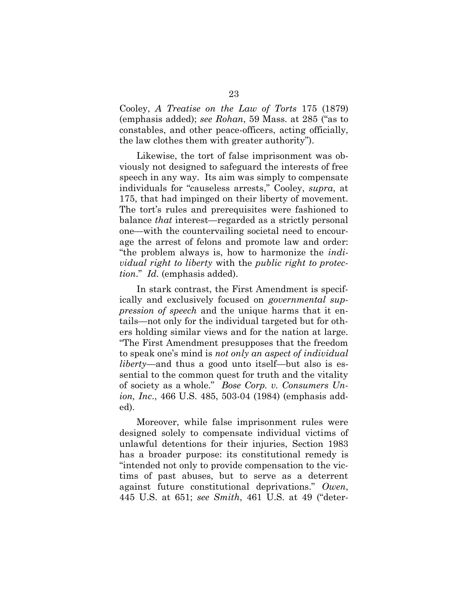Cooley, *A Treatise on the Law of Torts* 175 (1879) (emphasis added); *see Rohan*, 59 Mass. at 285 ("as to constables, and other peace-officers, acting officially, the law clothes them with greater authority").

Likewise, the tort of false imprisonment was obviously not designed to safeguard the interests of free speech in any way. Its aim was simply to compensate individuals for "causeless arrests," Cooley, *supra*, at 175, that had impinged on their liberty of movement. The tort's rules and prerequisites were fashioned to balance *that* interest—regarded as a strictly personal one—with the countervailing societal need to encourage the arrest of felons and promote law and order: "the problem always is, how to harmonize the *individual right to liberty* with the *public right to protection*." *Id.* (emphasis added).

In stark contrast, the First Amendment is specifically and exclusively focused on *governmental suppression of speech* and the unique harms that it entails—not only for the individual targeted but for others holding similar views and for the nation at large. "The First Amendment presupposes that the freedom to speak one's mind is *not only an aspect of individual liberty*—and thus a good unto itself—but also is essential to the common quest for truth and the vitality of society as a whole." *Bose Corp. v. Consumers Union, Inc*., 466 U.S. 485, 503-04 (1984) (emphasis added).

Moreover, while false imprisonment rules were designed solely to compensate individual victims of unlawful detentions for their injuries, Section 1983 has a broader purpose: its constitutional remedy is "intended not only to provide compensation to the victims of past abuses, but to serve as a deterrent against future constitutional deprivations." *Owen*, 445 U.S. at 651; *see Smith*, 461 U.S. at 49 ("deter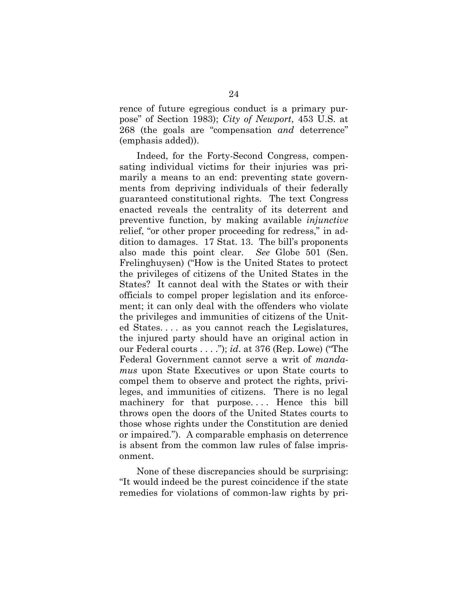rence of future egregious conduct is a primary purpose" of Section 1983); *City of Newport*, 453 U.S. at 268 (the goals are "compensation *and* deterrence" (emphasis added)).

Indeed, for the Forty-Second Congress, compensating individual victims for their injuries was primarily a means to an end: preventing state governments from depriving individuals of their federally guaranteed constitutional rights. The text Congress enacted reveals the centrality of its deterrent and preventive function, by making available *injunctive* relief, "or other proper proceeding for redress," in addition to damages. 17 Stat. 13. The bill's proponents also made this point clear. *See* Globe 501 (Sen. Frelinghuysen) ("How is the United States to protect the privileges of citizens of the United States in the States? It cannot deal with the States or with their officials to compel proper legislation and its enforcement; it can only deal with the offenders who violate the privileges and immunities of citizens of the United States. . . . as you cannot reach the Legislatures, the injured party should have an original action in our Federal courts . . . ."); *id*. at 376 (Rep. Lowe) ("The Federal Government cannot serve a writ of *mandamus* upon State Executives or upon State courts to compel them to observe and protect the rights, privileges, and immunities of citizens. There is no legal machinery for that purpose. . . . Hence this bill throws open the doors of the United States courts to those whose rights under the Constitution are denied or impaired."). A comparable emphasis on deterrence is absent from the common law rules of false imprisonment.

None of these discrepancies should be surprising: "It would indeed be the purest coincidence if the state remedies for violations of common-law rights by pri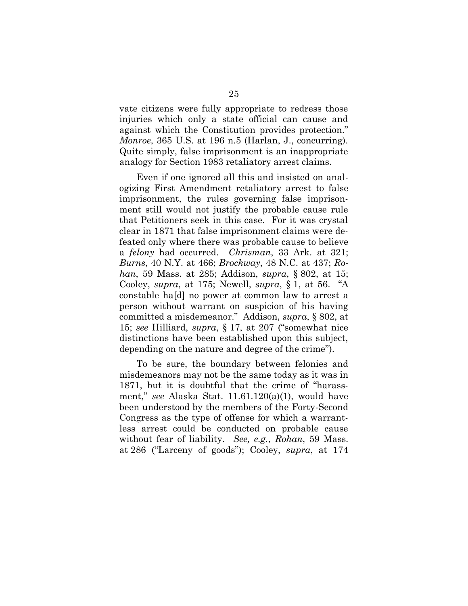vate citizens were fully appropriate to redress those injuries which only a state official can cause and against which the Constitution provides protection." *Monroe*, 365 U.S. at 196 n.5 (Harlan, J., concurring). Quite simply, false imprisonment is an inappropriate analogy for Section 1983 retaliatory arrest claims.

Even if one ignored all this and insisted on analogizing First Amendment retaliatory arrest to false imprisonment, the rules governing false imprisonment still would not justify the probable cause rule that Petitioners seek in this case. For it was crystal clear in 1871 that false imprisonment claims were defeated only where there was probable cause to believe a *felony* had occurred. *Chrisman*, 33 Ark. at 321; *Burns*, 40 N.Y. at 466; *Brockway*, 48 N.C. at 437; *Rohan*, 59 Mass. at 285; Addison, *supra*, § 802, at 15; Cooley, *supra*, at 175; Newell, *supra*, § 1, at 56. "A constable ha[d] no power at common law to arrest a person without warrant on suspicion of his having committed a misdemeanor." Addison, *supra*, § 802, at 15; *see* Hilliard, *supra*, § 17, at 207 ("somewhat nice distinctions have been established upon this subject, depending on the nature and degree of the crime").

To be sure, the boundary between felonies and misdemeanors may not be the same today as it was in 1871, but it is doubtful that the crime of "harassment," *see* Alaska Stat. 11.61.120(a)(1), would have been understood by the members of the Forty-Second Congress as the type of offense for which a warrantless arrest could be conducted on probable cause without fear of liability. *See, e.g.*, *Rohan*, 59 Mass. at 286 ("Larceny of goods"); Cooley, *supra*, at 174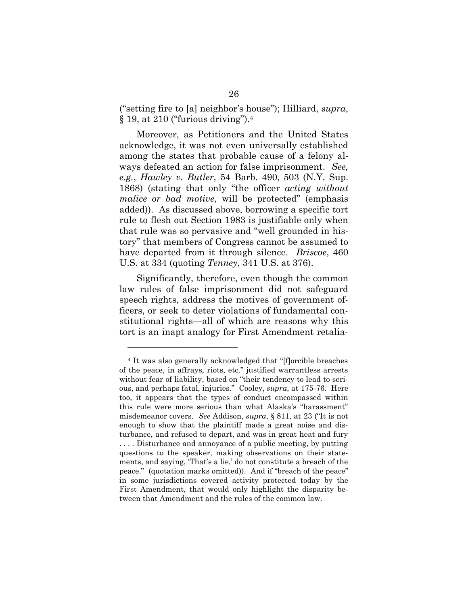("setting fire to [a] neighbor's house"); Hilliard, *supra*, § 19, at 210 ("furious driving").<sup>4</sup>

Moreover, as Petitioners and the United States acknowledge, it was not even universally established among the states that probable cause of a felony always defeated an action for false imprisonment. *See, e.g.*, *Hawley v. Butler*, 54 Barb. 490, 503 (N.Y. Sup. 1868) (stating that only "the officer *acting without malice or bad motive*, will be protected" (emphasis added)). As discussed above, borrowing a specific tort rule to flesh out Section 1983 is justifiable only when that rule was so pervasive and "well grounded in history" that members of Congress cannot be assumed to have departed from it through silence. *Briscoe*, 460 U.S. at 334 (quoting *Tenney*, 341 U.S. at 376).

Significantly, therefore, even though the common law rules of false imprisonment did not safeguard speech rights, address the motives of government officers, or seek to deter violations of fundamental constitutional rights—all of which are reasons why this tort is an inapt analogy for First Amendment retalia-

l

<sup>4</sup> It was also generally acknowledged that "[f]orcible breaches of the peace, in affrays, riots, etc." justified warrantless arrests without fear of liability, based on "their tendency to lead to serious, and perhaps fatal, injuries." Cooley, *supra*, at 175-76. Here too, it appears that the types of conduct encompassed within this rule were more serious than what Alaska's "harassment" misdemeanor covers. *See* Addison, *supra*, § 811, at 23 ("It is not enough to show that the plaintiff made a great noise and disturbance, and refused to depart, and was in great heat and fury . . . . Disturbance and annoyance of a public meeting, by putting questions to the speaker, making observations on their statements, and saying, 'That's a lie,' do not constitute a breach of the peace." (quotation marks omitted)). And if "breach of the peace" in some jurisdictions covered activity protected today by the First Amendment, that would only highlight the disparity between that Amendment and the rules of the common law.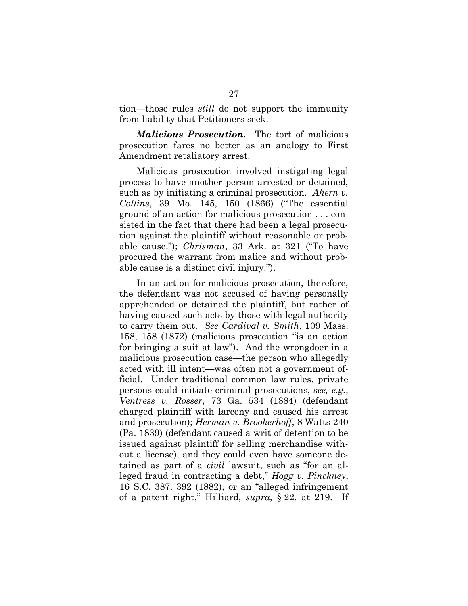tion—those rules *still* do not support the immunity from liability that Petitioners seek.

*Malicious Prosecution.* The tort of malicious prosecution fares no better as an analogy to First Amendment retaliatory arrest.

Malicious prosecution involved instigating legal process to have another person arrested or detained, such as by initiating a criminal prosecution. *Ahern v. Collins*, 39 Mo. 145, 150 (1866) ("The essential ground of an action for malicious prosecution . . . consisted in the fact that there had been a legal prosecution against the plaintiff without reasonable or probable cause."); *Chrisman*, 33 Ark. at 321 ("To have procured the warrant from malice and without probable cause is a distinct civil injury.").

In an action for malicious prosecution, therefore, the defendant was not accused of having personally apprehended or detained the plaintiff, but rather of having caused such acts by those with legal authority to carry them out. *See Cardival v. Smith*, 109 Mass. 158, 158 (1872) (malicious prosecution "is an action for bringing a suit at law"). And the wrongdoer in a malicious prosecution case—the person who allegedly acted with ill intent—was often not a government official. Under traditional common law rules, private persons could initiate criminal prosecutions, *see, e.g.*, *Ventress v. Rosser*, 73 Ga. 534 (1884) (defendant charged plaintiff with larceny and caused his arrest and prosecution); *Herman v. Brookerhoff*, 8 Watts 240 (Pa. 1839) (defendant caused a writ of detention to be issued against plaintiff for selling merchandise without a license), and they could even have someone detained as part of a *civil* lawsuit, such as "for an alleged fraud in contracting a debt," *Hogg v. Pinckney*, 16 S.C. 387, 392 (1882), or an "alleged infringement of a patent right," Hilliard, *supra*, § 22, at 219. If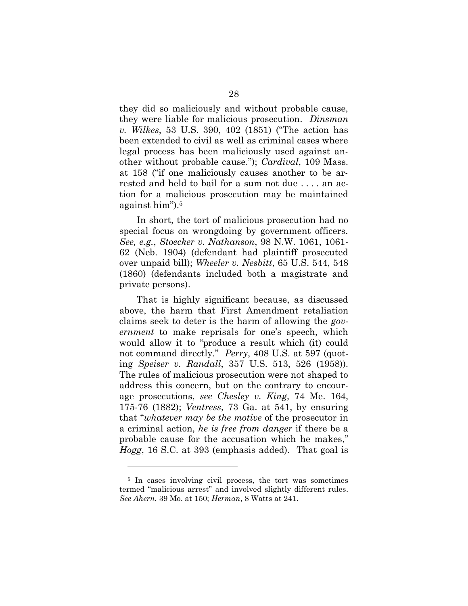they did so maliciously and without probable cause, they were liable for malicious prosecution. *Dinsman v. Wilkes*, 53 U.S. 390, 402 (1851) ("The action has been extended to civil as well as criminal cases where legal process has been maliciously used against another without probable cause."); *Cardival*, 109 Mass. at 158 ("if one maliciously causes another to be arrested and held to bail for a sum not due . . . . an action for a malicious prosecution may be maintained against him").<sup>5</sup>

In short, the tort of malicious prosecution had no special focus on wrongdoing by government officers. *See, e.g.*, *Stoecker v. Nathanson*, 98 N.W. 1061, 1061- 62 (Neb. 1904) (defendant had plaintiff prosecuted over unpaid bill); *Wheeler v. Nesbitt*, 65 U.S. 544, 548 (1860) (defendants included both a magistrate and private persons).

That is highly significant because, as discussed above, the harm that First Amendment retaliation claims seek to deter is the harm of allowing the *government* to make reprisals for one's speech, which would allow it to "produce a result which (it) could not command directly." *Perry*, 408 U.S. at 597 (quoting *Speiser v. Randall*, 357 U.S. 513, 526 (1958)). The rules of malicious prosecution were not shaped to address this concern, but on the contrary to encourage prosecutions, *see Chesley v. King*, 74 Me. 164, 175-76 (1882); *Ventress*, 73 Ga. at 541, by ensuring that "*whatever may be the motive* of the prosecutor in a criminal action, *he is free from danger* if there be a probable cause for the accusation which he makes," *Hogg*, 16 S.C. at 393 (emphasis added). That goal is

l

<sup>5</sup> In cases involving civil process, the tort was sometimes termed "malicious arrest" and involved slightly different rules. *See Ahern*, 39 Mo. at 150; *Herman*, 8 Watts at 241.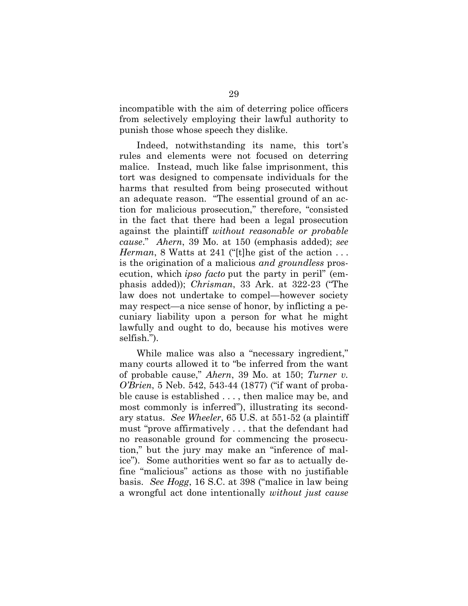incompatible with the aim of deterring police officers from selectively employing their lawful authority to punish those whose speech they dislike.

Indeed, notwithstanding its name, this tort's rules and elements were not focused on deterring malice. Instead, much like false imprisonment, this tort was designed to compensate individuals for the harms that resulted from being prosecuted without an adequate reason. "The essential ground of an action for malicious prosecution," therefore, "consisted in the fact that there had been a legal prosecution against the plaintiff *without reasonable or probable cause*." *Ahern*, 39 Mo. at 150 (emphasis added); *see Herman*, 8 Watts at 241 ("[t]he gist of the action ... is the origination of a malicious *and groundless* prosecution, which *ipso facto* put the party in peril" (emphasis added)); *Chrisman*, 33 Ark. at 322-23 ("The law does not undertake to compel—however society may respect—a nice sense of honor, by inflicting a pecuniary liability upon a person for what he might lawfully and ought to do, because his motives were selfish.").

While malice was also a "necessary ingredient," many courts allowed it to "be inferred from the want of probable cause," *Ahern*, 39 Mo. at 150; *Turner v. O'Brien*, 5 Neb. 542, 543-44 (1877) ("if want of probable cause is established . . . , then malice may be, and most commonly is inferred"), illustrating its secondary status. *See Wheeler*, 65 U.S. at 551-52 (a plaintiff must "prove affirmatively . . . that the defendant had no reasonable ground for commencing the prosecution," but the jury may make an "inference of malice"). Some authorities went so far as to actually define "malicious" actions as those with no justifiable basis. *See Hogg*, 16 S.C. at 398 ("malice in law being a wrongful act done intentionally *without just cause*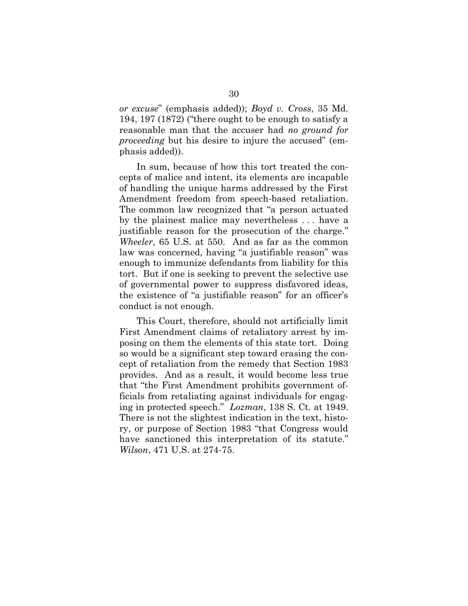*or excuse*" (emphasis added)); *Boyd v. Cross*, 35 Md. 194, 197 (1872) ("there ought to be enough to satisfy a reasonable man that the accuser had *no ground for proceeding* but his desire to injure the accused" (emphasis added)).

In sum, because of how this tort treated the concepts of malice and intent, its elements are incapable of handling the unique harms addressed by the First Amendment freedom from speech-based retaliation. The common law recognized that "a person actuated by the plainest malice may nevertheless . . . have a justifiable reason for the prosecution of the charge." *Wheeler*, 65 U.S. at 550. And as far as the common law was concerned, having "a justifiable reason" was enough to immunize defendants from liability for this tort. But if one is seeking to prevent the selective use of governmental power to suppress disfavored ideas, the existence of "a justifiable reason" for an officer's conduct is not enough.

This Court, therefore, should not artificially limit First Amendment claims of retaliatory arrest by imposing on them the elements of this state tort. Doing so would be a significant step toward erasing the concept of retaliation from the remedy that Section 1983 provides. And as a result, it would become less true that "the First Amendment prohibits government officials from retaliating against individuals for engaging in protected speech." *Lozman*, 138 S. Ct. at 1949. There is not the slightest indication in the text, history, or purpose of Section 1983 "that Congress would have sanctioned this interpretation of its statute." *Wilson*, 471 U.S. at 274-75.